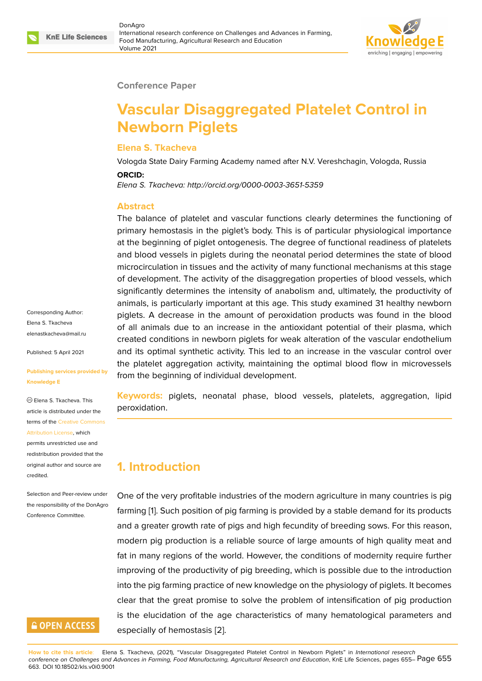

#### **Conference Paper**

# **Vascular Disaggregated Platelet Control in Newborn Piglets**

#### **Elena S. Tkacheva**

Vologda State Dairy Farming Academy named after N.V. Vereshchagin, Vologda, Russia

#### **ORCID:**

*Elena S. Tkacheva: http://orcid.org/0000-0003-3651-5359*

#### **Abstract**

The balance of platelet and vascular functions clearly determines the functioning of primary hemostasis in the piglet's body. This is of particular physiological importance at the beginning of piglet ontogenesis. The degree of functional readiness of platelets and blood vessels in piglets during the neonatal period determines the state of blood microcirculation in tissues and the activity of many functional mechanisms at this stage of development. The activity of the disaggregation properties of blood vessels, which significantly determines the intensity of anabolism and, ultimately, the productivity of animals, is particularly important at this age. This study examined 31 healthy newborn piglets. A decrease in the amount of peroxidation products was found in the blood of all animals due to an increase in the antioxidant potential of their plasma, which created conditions in newborn piglets for weak alteration of the vascular endothelium and its optimal synthetic activity. This led to an increase in the vascular control over the platelet aggregation activity, maintaining the optimal blood flow in microvessels from the beginning of individual development.

**Keywords:** piglets, neonatal phase, blood vessels, platelets, aggregation, lipid peroxidation.

# **1. Introduction**

One of the very profitable industries of the modern agriculture in many countries is pig farming [1]. Such position of pig farming is provided by a stable demand for its products and a greater growth rate of pigs and high fecundity of breeding sows. For this reason, modern pig production is a reliable source of large amounts of high quality meat and fat in m[an](#page-6-0)y regions of the world. However, the conditions of modernity require further improving of the productivity of pig breeding, which is possible due to the introduction into the pig farming practice of new knowledge on the physiology of piglets. It becomes clear that the great promise to solve the problem of intensification of pig production is the elucidation of the age characteristics of many hematological parameters and especially of hemostasis [2].

Corresponding Author: Elena S. Tkacheva elenastkacheva@mail.ru

Published: 5 April 2021

#### **[Publishing services pro](mailto:elenastkacheva@mail.ru)vided by Knowledge E**

Elena S. Tkacheva. This article is distributed under the terms of the Creative Commons Attribution License, which permits unrestricted use and

redistribution provided that the original auth[or and source are](https://creativecommons.org/licenses/by/4.0/) [credited.](https://creativecommons.org/licenses/by/4.0/)

Selection and Peer-review under the responsibility of the DonAgro Conference Committee.

## **GOPEN ACCESS**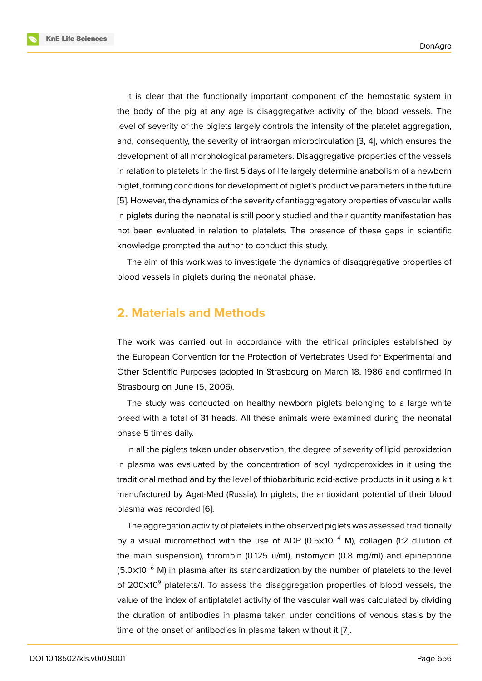It is clear that the functionally important component of the hemostatic system in the body of the pig at any age is disaggregative activity of the blood vessels. The level of severity of the piglets largely controls the intensity of the platelet aggregation, and, consequently, the severity of intraorgan microcirculation [3, 4], which ensures the development of all morphological parameters. Disaggregative properties of the vessels in relation to platelets in the first 5 days of life largely determine anabolism of a newborn piglet, forming conditions for development of piglet's productiv[e p](#page-6-1)[ara](#page-6-2)meters in the future [5]. However, the dynamics of the severity of antiaggregatory properties of vascular walls in piglets during the neonatal is still poorly studied and their quantity manifestation has not been evaluated in relation to platelets. The presence of these gaps in scientific [kn](#page-6-3)owledge prompted the author to conduct this study.

The aim of this work was to investigate the dynamics of disaggregative properties of blood vessels in piglets during the neonatal phase.

## **2. Materials and Methods**

The work was carried out in accordance with the ethical principles established by the European Convention for the Protection of Vertebrates Used for Experimental and Other Scientific Purposes (adopted in Strasbourg on March 18, 1986 and confirmed in Strasbourg on June 15, 2006).

The study was conducted on healthy newborn piglets belonging to a large white breed with a total of 31 heads. All these animals were examined during the neonatal phase 5 times daily.

In all the piglets taken under observation, the degree of severity of lipid peroxidation in plasma was evaluated by the concentration of acyl hydroperoxides in it using the traditional method and by the level of thiobarbituric acid-active products in it using a kit manufactured by Agat-Med (Russia). In piglets, the antioxidant potential of their blood plasma was recorded [6].

The aggregation activity of platelets in the observed piglets was assessed traditionally by a visual micromethod with the use of ADP (0.5 $\times$ 10<sup>-4</sup> M), collagen (1:2 dilution of the main suspension), [th](#page-6-4)rombin (0.125 u/ml), ristomycin (0.8 mg/ml) and epinephrine (5.0×10<sup>-6</sup> M) in plasma after its standardization by the number of platelets to the level of  $200\times10^9$  platelets/l. To assess the disaggregation properties of blood vessels, the value of the index of antiplatelet activity of the vascular wall was calculated by dividing the duration of antibodies in plasma taken under conditions of venous stasis by the time of the onset of antibodies in plasma taken without it [7].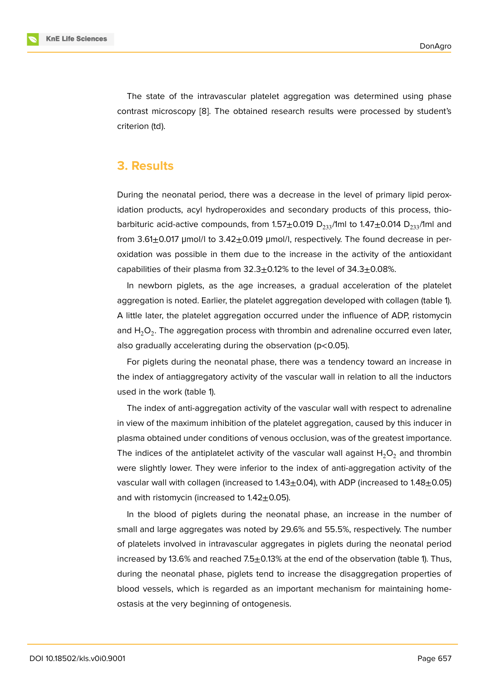The state of the intravascular platelet aggregation was determined using phase contrast microscopy [8]. The obtained research results were processed by student's criterion (td).

#### **3. Results**

During the neonatal period, there was a decrease in the level of primary lipid peroxidation products, acyl hydroperoxides and secondary products of this process, thiobarbituric acid-active compounds, from 1.57 $\pm$ 0.019 D<sub>233</sub>/1ml to 1.47 $\pm$ 0.014 D<sub>233</sub>/1ml and from 3.61 $\pm$ 0.017 µmol/l to 3.42 $\pm$ 0.019 µmol/l, respectively. The found decrease in peroxidation was possible in them due to the increase in the activity of the antioxidant capabilities of their plasma from  $32.3 \pm 0.12\%$  to the level of  $34.3 \pm 0.08\%$ .

In newborn piglets, as the age increases, a gradual acceleration of the platelet aggregation is noted. Earlier, the platelet aggregation developed with collagen (table 1). A little later, the platelet aggregation occurred under the influence of ADP, ristomycin and  ${\sf H_2O_2}.$  The aggregation process with thrombin and adrenaline occurred even later, also gradually accelerating during the observation (p<0.05).

For piglets during the neonatal phase, there was a tendency toward an increase in the index of antiaggregatory activity of the vascular wall in relation to all the inductors used in the work (table 1).

The index of anti-aggregation activity of the vascular wall with respect to adrenaline in view of the maximum inhibition of the platelet aggregation, caused by this inducer in plasma obtained under conditions of venous occlusion, was of the greatest importance. The indices of the antiplatelet activity of the vascular wall against  $H_2O_2$  and thrombin were slightly lower. They were inferior to the index of anti-aggregation activity of the vascular wall with collagen (increased to  $1.43\pm0.04$ ), with ADP (increased to  $1.48\pm0.05$ ) and with ristomycin (increased to  $1.42\pm0.05$ ).

In the blood of piglets during the neonatal phase, an increase in the number of small and large aggregates was noted by 29.6% and 55.5%, respectively. The number of platelets involved in intravascular aggregates in piglets during the neonatal period increased by 13.6% and reached  $7.5\pm0.13\%$  at the end of the observation (table 1). Thus, during the neonatal phase, piglets tend to increase the disaggregation properties of blood vessels, which is regarded as an important mechanism for maintaining homeostasis at the very beginning of ontogenesis.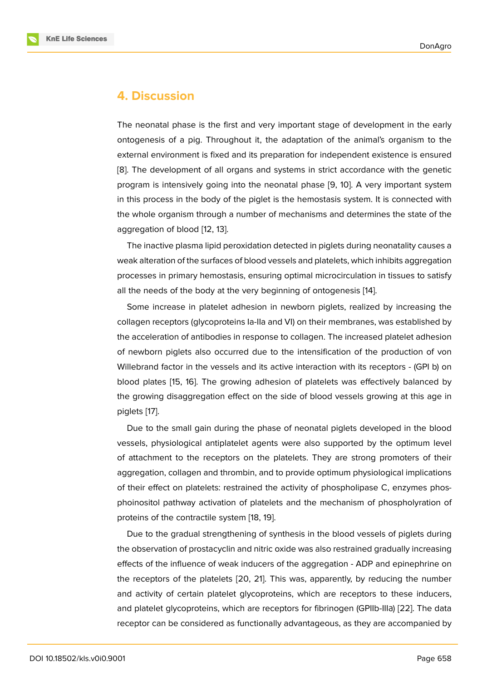### **4. Discussion**

The neonatal phase is the first and very important stage of development in the early ontogenesis of a pig. Throughout it, the adaptation of the animal's organism to the external environment is fixed and its preparation for independent existence is ensured [8]. The development of all organs and systems in strict accordance with the genetic program is intensively going into the neonatal phase [9, 10]. A very important system in this process in the body of the piglet is the hemostasis system. It is connected with [th](#page-6-5)e whole organism through a number of mechanisms and determines the state of the aggregation of blood [12, 13].

The inactive plasma lipid peroxidation detected in piglets during neonatality causes a weak alteration of the surfaces of blood vessels and platelets, which inhibits aggregation processes in primary [hem](#page-6-6)[os](#page-7-0)tasis, ensuring optimal microcirculation in tissues to satisfy all the needs of the body at the very beginning of ontogenesis [14].

Some increase in platelet adhesion in newborn piglets, realized by increasing the collagen receptors (glycoproteins Ia-IIa and VI) on their membranes, was established by the acceleration of antibodies in response to collagen. The incre[ase](#page-7-1)d platelet adhesion of newborn piglets also occurred due to the intensification of the production of von Willebrand factor in the vessels and its active interaction with its receptors - (GPI b) on blood plates [15, 16]. The growing adhesion of platelets was effectively balanced by the growing disaggregation effect on the side of blood vessels growing at this age in piglets [17].

Due to the [sm](#page-7-2)[all](#page-7-3) gain during the phase of neonatal piglets developed in the blood vessels, physiological antiplatelet agents were also supported by the optimum level of attac[hm](#page-7-4)ent to the receptors on the platelets. They are strong promoters of their aggregation, collagen and thrombin, and to provide optimum physiological implications of their effect on platelets: restrained the activity of phospholipase C, enzymes phosphoinositol pathway activation of platelets and the mechanism of phospholyration of proteins of the contractile system [18, 19].

Due to the gradual strengthening of synthesis in the blood vessels of piglets during the observation of prostacyclin and nitric oxide was also restrained gradually increasing effects of the influence of weak in[duc](#page-7-5)[ers](#page-7-6) of the aggregation - ADP and epinephrine on the receptors of the platelets [20, 21]. This was, apparently, by reducing the number and activity of certain platelet glycoproteins, which are receptors to these inducers, and platelet glycoproteins, which are receptors for fibrinogen (GPIIb-IIIа) [22]. The data receptor can be considered as [fun](#page-7-7)c[tio](#page-7-8)nally advantageous, as they are accompanied by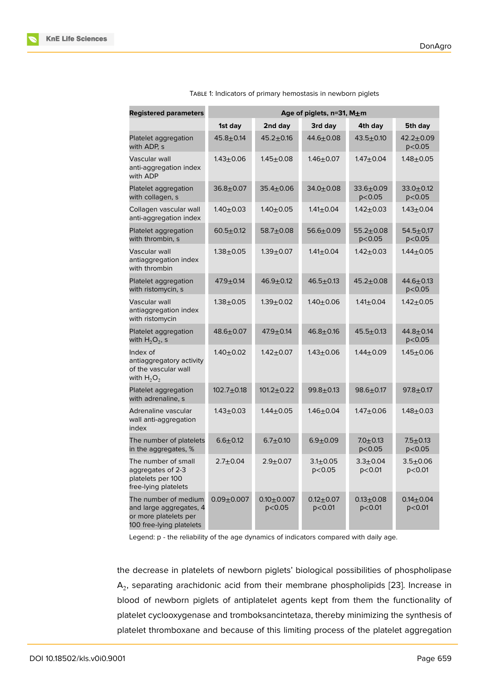| <b>Registered parameters</b>                                                                         | Age of piglets, n=31, M±m |                              |                             |                             |                              |
|------------------------------------------------------------------------------------------------------|---------------------------|------------------------------|-----------------------------|-----------------------------|------------------------------|
|                                                                                                      | 1st day                   | 2nd day                      | 3rd day                     | 4th day                     | 5th day                      |
| Platelet aggregation<br>with ADP, s                                                                  | $45.8 + 0.14$             | $45.2 + 0.16$                | $44.6 + 0.08$               | $43.5 + 0.10$               | $42.2 + 0.09$<br>p<0.05      |
| Vascular wall<br>anti-aggregation index<br>with ADP                                                  | $1.43 + 0.06$             | $1.45 \pm 0.08$              | $1.46 + 0.07$               | $1.47 + 0.04$               | $1.48 + 0.05$                |
| Platelet aggregation<br>with collagen, s                                                             | $36.8 + 0.07$             | $35.4 \pm 0.06$              | $34.0 \pm 0.08$             | $33.6 \pm 0.09$<br>p < 0.05 | $33.0 + 0.12$<br>p < 0.05    |
| Collagen vascular wall<br>anti-aggregation index                                                     | $1.40 + 0.03$             | $1.40 + 0.05$                | $1.41 \pm 0.04$             | $1.42 + 0.03$               | $1.43 + 0.04$                |
| Platelet aggregation<br>with thrombin, s                                                             | $60.5 + 0.12$             | $58.7 + 0.08$                | $56.6 + 0.09$               | $55.2 + 0.08$<br>p < 0.05   | $54.5 \pm 0,17$<br>p < 0.05  |
| Vascular wall<br>antiaggregation index<br>with thrombin                                              | $1.38 + 0.05$             | $1.39 + 0.07$                | $1.41 \pm 0.04$             | $1.42 + 0.03$               | 1.44±0.05                    |
| Platelet aggregation<br>with ristomycin, s                                                           | $47.9 \pm 0.14$           | $46.9 + 0.12$                | $46.5 \pm 0.13$             | $45.2 \pm 0.08$             | $44.6 \pm 0.13$<br>p < 0.05  |
| Vascular wall<br>antiaggregation index<br>with ristomycin                                            | $1.38 + 0.05$             | $1.39 + 0.02$                | $1.40 + 0.06$               | $1.41 \pm 0.04$             | $1.42 + 0.05$                |
| Platelet aggregation<br>with $H_2O_2$ , s                                                            | $48.6 \pm 0.07$           | $47.9 \pm 0.14$              | $46.8 + 0.16$               | $45.5 + 0.13$               | $44.8 + 0.14$<br>p < 0.05    |
| Index of<br>antiaggregatory activity<br>of the vascular wall<br>with $H_2O_2$                        | $1.40 + 0.02$             | $1.42 + 0.07$                | $1.43 + 0.06$               | $1.44 + 0.09$               | $1.45 + 0.06$                |
| Platelet aggregation<br>with adrenaline, s                                                           | $102.7 + 0.18$            | $101.2 \pm 0.22$             | $99.8 + 0.13$               | $98.6 \pm 0.17$             | $97.8 + 0.17$                |
| Adrenaline vascular<br>wall anti-aggregation<br>index                                                | $1.43 + 0.03$             | $1.44 \pm 0.05$              | $1.46 + 0.04$               | $1.47 + 0.06$               | $1.48 + 0.03$                |
| The number of platelets<br>in the aggregates, %                                                      | $6.6 + 0.12$              | $6.7 + 0.10$                 | $6.9 + 0.09$                | $7.0 \pm 0.13$<br>p < 0.05  | $7.5 + 0.13$<br>p < 0.05     |
| The number of small<br>aggregates of 2-3<br>platelets per 100<br>free-lying platelets                | $2.7 + 0.04$              | $2.9 + 0.07$                 | $3.1 + 0.05$<br>p < 0.05    | $3.3 + 0.04$<br>p < 0.01    | $3.5 + 0.06$<br>$p<$ 0.01    |
| The number of medium<br>and large aggregates, 4<br>or more platelets per<br>100 free-lying platelets | $0.09 + 0.007$            | $0.10 \pm 0.007$<br>p < 0.05 | $0.12 \pm 0.07$<br>p < 0.01 | $0.13 \pm 0.08$<br>p<0.01   | $0.14 \pm 0.04$<br>$p<$ 0.01 |

TABLE 1: Indicators of primary hemostasis in newborn piglets

Legend: p - the reliability of the age dynamics of indicators compared with daily age.

the decrease in platelets of newborn piglets' biological possibilities of phospholipase  ${\sf A}_2$ , separating arachidonic acid from their membrane phospholipids [23]. Increase in blood of newborn piglets of antiplatelet agents kept from them the functionality of platelet cyclooxygenase and tromboksancintetaza, thereby minimizing the synthesis of platelet thromboxane and because of this limiting process of the plat[elet](#page-7-9) aggregation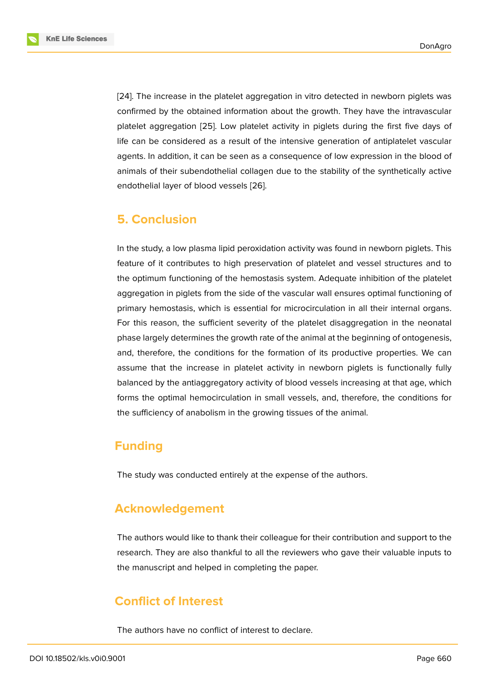[24]. The increase in the platelet aggregation in vitro detected in newborn piglets was confirmed by the obtained information about the growth. They have the intravascular platelet aggregation [25]. Low platelet activity in piglets during the first five days of l[ife](#page-7-10) can be considered as a result of the intensive generation of antiplatelet vascular agents. In addition, it can be seen as a consequence of low expression in the blood of animals of their sube[ndo](#page-8-0)thelial collagen due to the stability of the synthetically active endothelial layer of blood vessels [26].

## **5. Conclusion**

In the study, a low plasma lipid peroxidation activity was found in newborn piglets. This feature of it contributes to high preservation of platelet and vessel structures and to the optimum functioning of the hemostasis system. Adequate inhibition of the platelet aggregation in piglets from the side of the vascular wall ensures optimal functioning of primary hemostasis, which is essential for microcirculation in all their internal organs. For this reason, the sufficient severity of the platelet disaggregation in the neonatal phase largely determines the growth rate of the animal at the beginning of ontogenesis, and, therefore, the conditions for the formation of its productive properties. We can assume that the increase in platelet activity in newborn piglets is functionally fully balanced by the antiaggregatory activity of blood vessels increasing at that age, which forms the optimal hemocirculation in small vessels, and, therefore, the conditions for the sufficiency of anabolism in the growing tissues of the animal.

# **Funding**

The study was conducted entirely at the expense of the authors.

# **Acknowledgement**

The authors would like to thank their colleague for their contribution and support to the research. They are also thankful to all the reviewers who gave their valuable inputs to the manuscript and helped in completing the paper.

# **Conflict of Interest**

The authors have no conflict of interest to declare.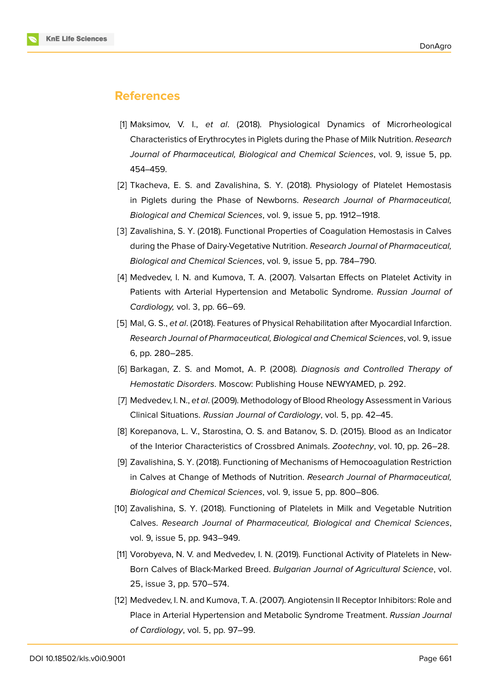

## **References**

- <span id="page-6-0"></span>[1] Maksimov, V. I., *et al*. (2018). Physiological Dynamics of Microrheological Characteristics of Erythrocytes in Piglets during the Phase of Milk Nutrition. *Research Journal of Pharmaceutical, Biological and Chemical Sciences*, vol. 9, issue 5, pp. 454–459.
- [2] Tkacheva, E. S. and Zavalishina, S. Y. (2018). Physiology of Platelet Hemostasis in Piglets during the Phase of Newborns. *Research Journal of Pharmaceutical, Biological and Chemical Sciences*, vol. 9, issue 5, pp. 1912–1918.
- <span id="page-6-1"></span>[3] Zavalishina, S. Y. (2018). Functional Properties of Coagulation Hemostasis in Calves during the Phase of Dairy-Vegetative Nutrition. *Research Journal of Pharmaceutical, Biological and Chemical Sciences*, vol. 9, issue 5, pp. 784–790.
- <span id="page-6-2"></span>[4] Medvedev, I. N. and Kumova, T. A. (2007). Valsartan Effects on Platelet Activity in Patients with Arterial Hypertension and Metabolic Syndrome. *Russian Journal of Cardiology,* vol. 3, pp. 66–69.
- <span id="page-6-3"></span>[5] Mal, G. S., *et al*. (2018). Features of Physical Rehabilitation after Myocardial Infarction. *Research Journal of Pharmaceutical, Biological and Chemical Sciences*, vol. 9, issue 6, pp. 280–285.
- <span id="page-6-4"></span>[6] Barkagan, Z. S. and Momot, A. P. (2008). *Diagnosis and Controlled Therapy of Hemostatic Disorders*. Moscow: Publishing House NEWYAMED, p. 292.
- [7] Medvedev, I. N., *et al*. (2009). Methodology of Blood Rheology Assessment in Various Clinical Situations. *Russian Journal of Cardiology*, vol. 5, pp. 42–45.
- <span id="page-6-5"></span>[8] Korepanova, L. V., Starostina, O. S. and Batanov, S. D. (2015). Blood as an Indicator of the Interior Characteristics of Crossbred Animals. *Zootechny*, vol. 10, pp. 26–28.
- [9] Zavalishina, S. Y. (2018). Functioning of Mechanisms of Hemocoagulation Restriction in Calves at Change of Methods of Nutrition. *Research Journal of Pharmaceutical, Biological and Chemical Sciences*, vol. 9, issue 5, pp. 800–806.
- [10] Zavalishina, S. Y. (2018). Functioning of Platelets in Milk and Vegetable Nutrition Calves. *Research Journal of Pharmaceutical, Biological and Chemical Sciences*, vol. 9, issue 5, pp. 943–949.
- [11] Vorobyeva, N. V. and Medvedev, I. N. (2019). Functional Activity of Platelets in New-Born Calves of Black-Marked Breed. *Bulgarian Journal of Agricultural Science*, vol. 25, issue 3, pp. 570–574.
- <span id="page-6-6"></span>[12] Medvedev, I. N. and Kumova, T. A. (2007). Angiotensin II Receptor Inhibitors: Role and Place in Arterial Hypertension and Metabolic Syndrome Treatment. *Russian Journal of Cardiology*, vol. 5, pp. 97–99.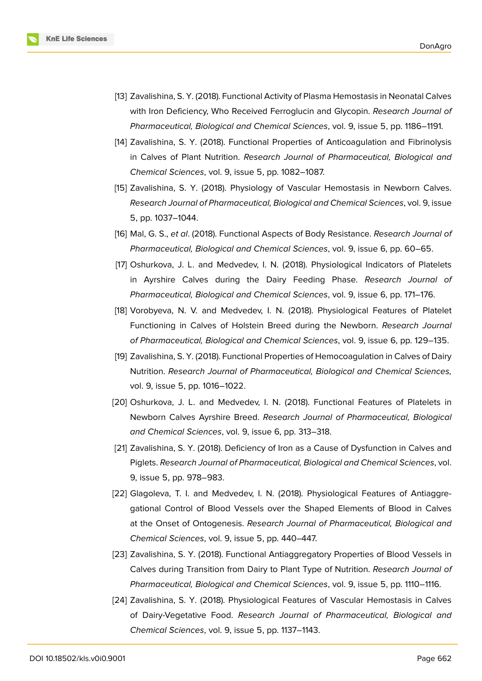

- <span id="page-7-0"></span>[13] Zavalishina, S. Y. (2018). Functional Activity of Plasma Hemostasis in Neonatal Calves with Iron Deficiency, Who Received Ferroglucin and Glycopin. *Research Journal of Pharmaceutical, Biological and Chemical Sciences*, vol. 9, issue 5, pp. 1186–1191.
- <span id="page-7-1"></span>[14] Zavalishina, S. Y. (2018). Functional Properties of Anticoagulation and Fibrinolysis in Calves of Plant Nutrition. *Research Journal of Pharmaceutical, Biological and Chemical Sciences*, vol. 9, issue 5, pp. 1082–1087.
- <span id="page-7-2"></span>[15] Zavalishina, S. Y. (2018). Physiology of Vascular Hemostasis in Newborn Calves. *Research Journal of Pharmaceutical, Biological and Chemical Sciences*, vol. 9, issue 5, pp. 1037–1044.
- <span id="page-7-3"></span>[16] Mal, G. S., *et al*. (2018). Functional Aspects of Body Resistance. *Research Journal of Pharmaceutical, Biological and Chemical Sciences*, vol. 9, issue 6, pp. 60–65.
- <span id="page-7-4"></span>[17] Oshurkova, J. L. and Medvedev, I. N. (2018). Physiological Indicators of Platelets in Ayrshire Calves during the Dairy Feeding Phase. *Research Journal of Pharmaceutical, Biological and Chemical Sciences*, vol. 9, issue 6, pp. 171–176.
- <span id="page-7-5"></span>[18] Vorobyeva, N. V. and Medvedev, I. N. (2018). Physiological Features of Platelet Functioning in Calves of Holstein Breed during the Newborn. *Research Journal of Pharmaceutical, Biological and Chemical Sciences*, vol. 9, issue 6, pp. 129–135.
- <span id="page-7-6"></span>[19] Zavalishina, S. Y. (2018). Functional Properties of Hemocoagulation in Calves of Dairy Nutrition. *Research Journal of Pharmaceutical, Biological and Chemical Sciences,* vol. 9, issue 5, pp. 1016–1022.
- <span id="page-7-7"></span>[20] Oshurkova, J. L. and Medvedev, I. N. (2018). Functional Features of Platelets in Newborn Calves Ayrshire Breed. *Research Journal of Pharmaceutical, Biological and Chemical Sciences*, vol. 9, issue 6, pp. 313–318.
- <span id="page-7-8"></span>[21] Zavalishina, S. Y. (2018). Deficiency of Iron as a Cause of Dysfunction in Calves and Piglets. *Research Journal of Pharmaceutical, Biological and Chemical Sciences*, vol. 9, issue 5, pp. 978–983.
- [22] Glagoleva, T. I. and Medvedev, I. N. (2018). Physiological Features of Antiaggregational Control of Blood Vessels over the Shaped Elements of Blood in Calves at the Onset of Ontogenesis. *Research Journal of Pharmaceutical, Biological and Chemical Sciences*, vol. 9, issue 5, pp. 440–447.
- <span id="page-7-9"></span>[23] Zavalishina, S. Y. (2018). Functional Antiaggregatory Properties of Blood Vessels in Calves during Transition from Dairy to Plant Type of Nutrition. *Research Journal of Pharmaceutical, Biological and Chemical Sciences*, vol. 9, issue 5, pp. 1110–1116.
- <span id="page-7-10"></span>[24] Zavalishina, S. Y. (2018). Physiological Features of Vascular Hemostasis in Calves of Dairy-Vegetative Food. *Research Journal of Pharmaceutical, Biological and Chemical Sciences*, vol. 9, issue 5, pp. 1137–1143.